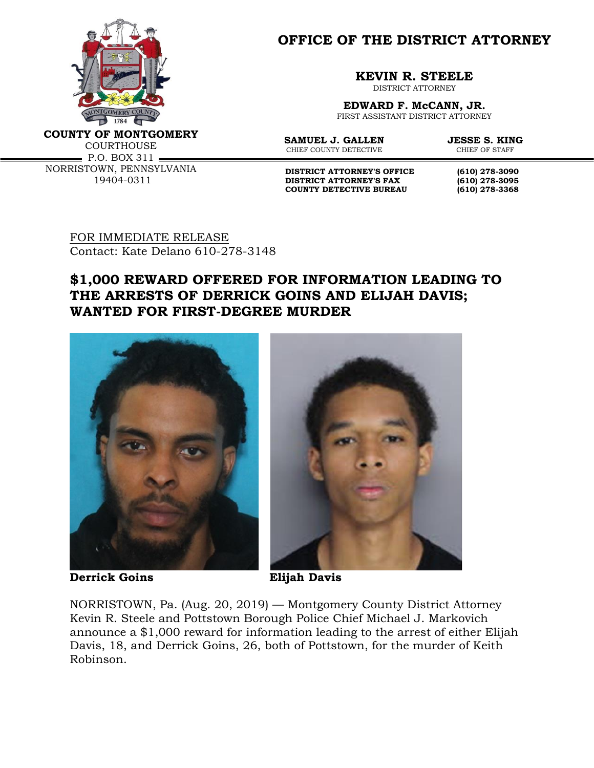

**OFFICE OF THE DISTRICT ATTORNEY**

**KEVIN R. STEELE**

DISTRICT ATTORNEY

**EDWARD F. McCANN, JR.** FIRST ASSISTANT DISTRICT ATTORNEY

**COUNTY OF MONTGOMERY**

COURTHOUSE  $\blacksquare$  P.O. BOX 311  $\blacksquare$ NORRISTOWN, PENNSYLVANIA 19404-0311

**SAMUEL J. GALLEN JESSE S. KING**<br>CHIEF COUNTY DETECTIVE **CHIEF OF STAFF** CHIEF COUNTY DETECTIVE

**DISTRICT ATTORNEY'S OFFICE (610) 278-3090<br>DISTRICT ATTORNEY'S FAX (610) 278-3095 DISTRICT ATTORNEY'S FAX (610) 278-3095 COUNTY DETECTIVE BUREAU (610) 278-3368**

FOR IMMEDIATE RELEASE Contact: Kate Delano 610-278-3148

## **\$1,000 REWARD OFFERED FOR INFORMATION LEADING TO THE ARRESTS OF DERRICK GOINS AND ELIJAH DAVIS; WANTED FOR FIRST-DEGREE MURDER**



**Derrick Goins Elijah Davis**



NORRISTOWN, Pa. (Aug. 20, 2019) — Montgomery County District Attorney Kevin R. Steele and Pottstown Borough Police Chief Michael J. Markovich announce a \$1,000 reward for information leading to the arrest of either Elijah Davis, 18, and Derrick Goins, 26, both of Pottstown, for the murder of Keith Robinson.